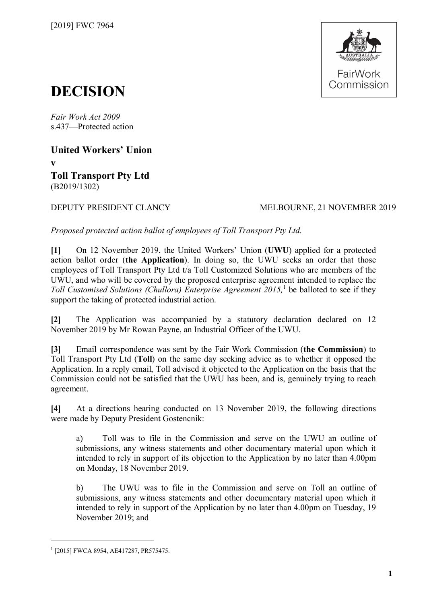

# **DECISION**

*Fair Work Act 2009*  s.437—Protected action

**United Workers' Union**

**v**

**Toll Transport Pty Ltd** (B2019/1302)

## DEPUTY PRESIDENT CLANCY MELBOURNE, 21 NOVEMBER 2019

*Proposed protected action ballot of employees of Toll Transport Pty Ltd.*

**[1]** On 12 November 2019, the United Workers' Union (**UWU**) applied for a protected action ballot order (**the Application**). In doing so, the UWU seeks an order that those employees of Toll Transport Pty Ltd t/a Toll Customized Solutions who are members of the UWU, and who will be covered by the proposed enterprise agreement intended to replace the Toll Customised Solutions (Chullora) Enterprise Agreement 20[1](#page-0-0)5,<sup>1</sup> be balloted to see if they support the taking of protected industrial action.

**[2]** The Application was accompanied by a statutory declaration declared on 12 November 2019 by Mr Rowan Payne, an Industrial Officer of the UWU.

**[3]** Email correspondence was sent by the Fair Work Commission (**the Commission**) to Toll Transport Pty Ltd (**Toll**) on the same day seeking advice as to whether it opposed the Application. In a reply email, Toll advised it objected to the Application on the basis that the Commission could not be satisfied that the UWU has been, and is, genuinely trying to reach agreement.

**[4]** At a directions hearing conducted on 13 November 2019, the following directions were made by Deputy President Gostencnik:

a) Toll was to file in the Commission and serve on the UWU an outline of submissions, any witness statements and other documentary material upon which it intended to rely in support of its objection to the Application by no later than 4.00pm on Monday, 18 November 2019.

b) The UWU was to file in the Commission and serve on Toll an outline of submissions, any witness statements and other documentary material upon which it intended to rely in support of the Application by no later than 4.00pm on Tuesday, 19 November 2019; and

<span id="page-0-0"></span><sup>1</sup> [2015] FWCA 8954, AE417287, PR575475.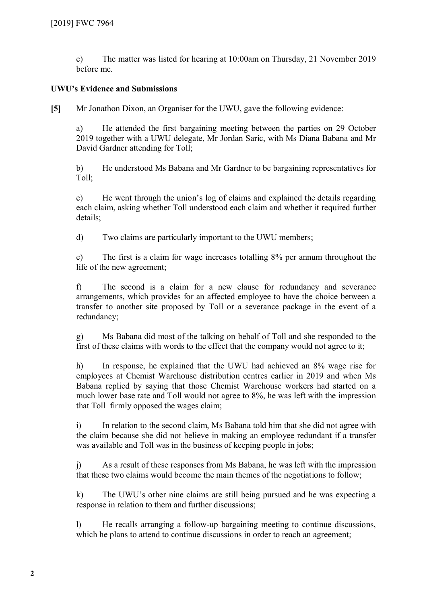c) The matter was listed for hearing at 10:00am on Thursday, 21 November 2019 before me.

#### **UWU's Evidence and Submissions**

**[5]** Mr Jonathon Dixon, an Organiser for the UWU, gave the following evidence:

a) He attended the first bargaining meeting between the parties on 29 October 2019 together with a UWU delegate, Mr Jordan Saric, with Ms Diana Babana and Mr David Gardner attending for Toll;

b) He understood Ms Babana and Mr Gardner to be bargaining representatives for Toll;

c) He went through the union's log of claims and explained the details regarding each claim, asking whether Toll understood each claim and whether it required further details;

d) Two claims are particularly important to the UWU members;

e) The first is a claim for wage increases totalling 8% per annum throughout the life of the new agreement;

f) The second is a claim for a new clause for redundancy and severance arrangements, which provides for an affected employee to have the choice between a transfer to another site proposed by Toll or a severance package in the event of a redundancy;

g) Ms Babana did most of the talking on behalf of Toll and she responded to the first of these claims with words to the effect that the company would not agree to it;

h) In response, he explained that the UWU had achieved an 8% wage rise for employees at Chemist Warehouse distribution centres earlier in 2019 and when Ms Babana replied by saying that those Chemist Warehouse workers had started on a much lower base rate and Toll would not agree to 8%, he was left with the impression that Toll firmly opposed the wages claim;

i) In relation to the second claim, Ms Babana told him that she did not agree with the claim because she did not believe in making an employee redundant if a transfer was available and Toll was in the business of keeping people in jobs;

j) As a result of these responses from Ms Babana, he was left with the impression that these two claims would become the main themes of the negotiations to follow;

k) The UWU's other nine claims are still being pursued and he was expecting a response in relation to them and further discussions;

l) He recalls arranging a follow-up bargaining meeting to continue discussions, which he plans to attend to continue discussions in order to reach an agreement;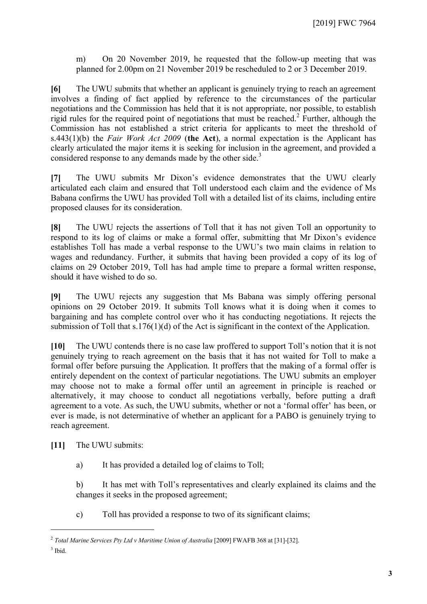m) On 20 November 2019, he requested that the follow-up meeting that was planned for 2.00pm on 21 November 2019 be rescheduled to 2 or 3 December 2019.

**[6]** The UWU submits that whether an applicant is genuinely trying to reach an agreement involves a finding of fact applied by reference to the circumstances of the particular negotiations and the Commission has held that it is not appropriate, nor possible, to establish rigid rules for the required point of negotiations that must be reached.<sup>[2](#page-2-0)</sup> Further, although the Commission has not established a strict criteria for applicants to meet the threshold of s.443(1)(b) the *Fair Work Act 2009* (**the Act**), a normal expectation is the Applicant has clearly articulated the major items it is seeking for inclusion in the agreement, and provided a considered response to any demands made by the other side.<sup>[3](#page-2-1)</sup>

**[7]** The UWU submits Mr Dixon's evidence demonstrates that the UWU clearly articulated each claim and ensured that Toll understood each claim and the evidence of Ms Babana confirms the UWU has provided Toll with a detailed list of its claims, including entire proposed clauses for its consideration.

**[8]** The UWU rejects the assertions of Toll that it has not given Toll an opportunity to respond to its log of claims or make a formal offer, submitting that Mr Dixon's evidence establishes Toll has made a verbal response to the UWU's two main claims in relation to wages and redundancy. Further, it submits that having been provided a copy of its log of claims on 29 October 2019, Toll has had ample time to prepare a formal written response, should it have wished to do so.

**[9]** The UWU rejects any suggestion that Ms Babana was simply offering personal opinions on 29 October 2019. It submits Toll knows what it is doing when it comes to bargaining and has complete control over who it has conducting negotiations. It rejects the submission of Toll that s.176(1)(d) of the Act is significant in the context of the Application.

**[10]** The UWU contends there is no case law proffered to support Toll's notion that it is not genuinely trying to reach agreement on the basis that it has not waited for Toll to make a formal offer before pursuing the Application. It proffers that the making of a formal offer is entirely dependent on the context of particular negotiations. The UWU submits an employer may choose not to make a formal offer until an agreement in principle is reached or alternatively, it may choose to conduct all negotiations verbally, before putting a draft agreement to a vote. As such, the UWU submits, whether or not a 'formal offer' has been, or ever is made, is not determinative of whether an applicant for a PABO is genuinely trying to reach agreement.

**[11]** The UWU submits:

a) It has provided a detailed log of claims to Toll;

b) It has met with Toll's representatives and clearly explained its claims and the changes it seeks in the proposed agreement;

c) Toll has provided a response to two of its significant claims;

 $3$  Ibid.

<span id="page-2-1"></span><span id="page-2-0"></span><sup>2</sup> *Total Marine Services Pty Ltd v Maritime Union of Australia* [2009] FWAFB 368 at [31]-[32].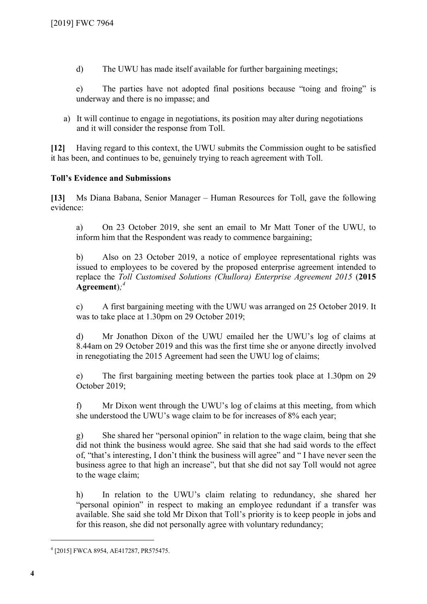d) The UWU has made itself available for further bargaining meetings;

e) The parties have not adopted final positions because "toing and froing" is underway and there is no impasse; and

a) It will continue to engage in negotiations, its position may alter during negotiations and it will consider the response from Toll.

**[12]** Having regard to this context, the UWU submits the Commission ought to be satisfied it has been, and continues to be, genuinely trying to reach agreement with Toll.

### **Toll's Evidence and Submissions**

**[13]** Ms Diana Babana, Senior Manager – Human Resources for Toll, gave the following evidence:

a) On 23 October 2019, she sent an email to Mr Matt Toner of the UWU, to inform him that the Respondent was ready to commence bargaining;

b) Also on 23 October 2019, a notice of employee representational rights was issued to employees to be covered by the proposed enterprise agreement intended to replace the *Toll Customised Solutions (Chullora) Enterprise Agreement 2015* (**2015 Agreement**)*; [4](#page-3-0)*

c) A first bargaining meeting with the UWU was arranged on 25 October 2019. It was to take place at 1.30pm on 29 October 2019;

d) Mr Jonathon Dixon of the UWU emailed her the UWU's log of claims at 8.44am on 29 October 2019 and this was the first time she or anyone directly involved in renegotiating the 2015 Agreement had seen the UWU log of claims;

e) The first bargaining meeting between the parties took place at 1.30pm on 29 October 2019;

f) Mr Dixon went through the UWU's log of claims at this meeting, from which she understood the UWU's wage claim to be for increases of 8% each year;

g) She shared her "personal opinion" in relation to the wage claim, being that she did not think the business would agree. She said that she had said words to the effect of, "that's interesting, I don't think the business will agree" and " I have never seen the business agree to that high an increase", but that she did not say Toll would not agree to the wage claim;

h) In relation to the UWU's claim relating to redundancy, she shared her "personal opinion" in respect to making an employee redundant if a transfer was available. She said she told Mr Dixon that Toll's priority is to keep people in jobs and for this reason, she did not personally agree with voluntary redundancy;

<span id="page-3-0"></span><sup>4</sup> [2015] FWCA 8954, AE417287, PR575475.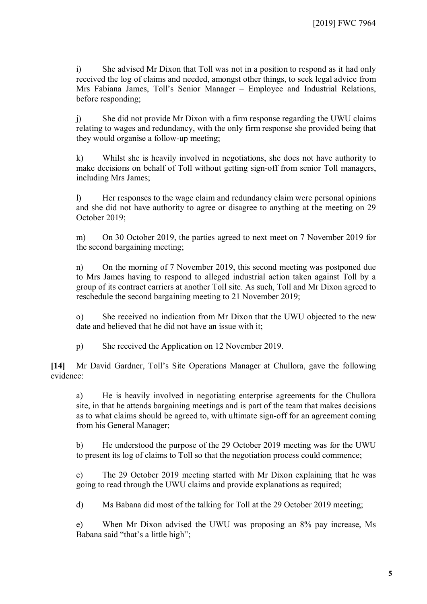i) She advised Mr Dixon that Toll was not in a position to respond as it had only received the log of claims and needed, amongst other things, to seek legal advice from Mrs Fabiana James, Toll's Senior Manager – Employee and Industrial Relations, before responding;

j) She did not provide Mr Dixon with a firm response regarding the UWU claims relating to wages and redundancy, with the only firm response she provided being that they would organise a follow-up meeting;

k) Whilst she is heavily involved in negotiations, she does not have authority to make decisions on behalf of Toll without getting sign-off from senior Toll managers, including Mrs James;

l) Her responses to the wage claim and redundancy claim were personal opinions and she did not have authority to agree or disagree to anything at the meeting on 29 October 2019;

m) On 30 October 2019, the parties agreed to next meet on 7 November 2019 for the second bargaining meeting;

n) On the morning of 7 November 2019, this second meeting was postponed due to Mrs James having to respond to alleged industrial action taken against Toll by a group of its contract carriers at another Toll site. As such, Toll and Mr Dixon agreed to reschedule the second bargaining meeting to 21 November 2019;

o) She received no indication from Mr Dixon that the UWU objected to the new date and believed that he did not have an issue with it;

p) She received the Application on 12 November 2019.

**[14]** Mr David Gardner, Toll's Site Operations Manager at Chullora, gave the following evidence:

a) He is heavily involved in negotiating enterprise agreements for the Chullora site, in that he attends bargaining meetings and is part of the team that makes decisions as to what claims should be agreed to, with ultimate sign-off for an agreement coming from his General Manager;

b) He understood the purpose of the 29 October 2019 meeting was for the UWU to present its log of claims to Toll so that the negotiation process could commence;

c) The 29 October 2019 meeting started with Mr Dixon explaining that he was going to read through the UWU claims and provide explanations as required;

d) Ms Babana did most of the talking for Toll at the 29 October 2019 meeting;

e) When Mr Dixon advised the UWU was proposing an 8% pay increase, Ms Babana said "that's a little high";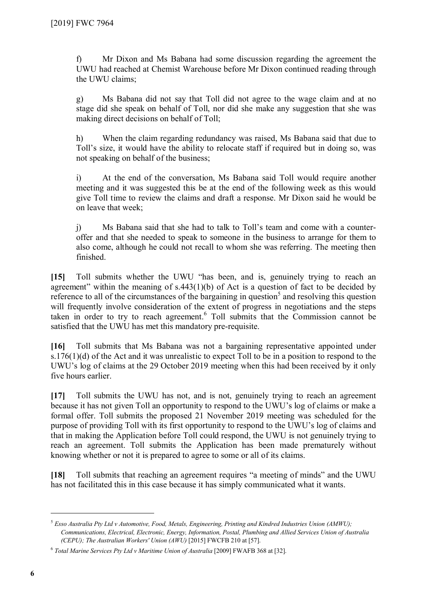f) Mr Dixon and Ms Babana had some discussion regarding the agreement the UWU had reached at Chemist Warehouse before Mr Dixon continued reading through the UWU claims;

g) Ms Babana did not say that Toll did not agree to the wage claim and at no stage did she speak on behalf of Toll, nor did she make any suggestion that she was making direct decisions on behalf of Toll;

h) When the claim regarding redundancy was raised, Ms Babana said that due to Toll's size, it would have the ability to relocate staff if required but in doing so, was not speaking on behalf of the business;

i) At the end of the conversation, Ms Babana said Toll would require another meeting and it was suggested this be at the end of the following week as this would give Toll time to review the claims and draft a response. Mr Dixon said he would be on leave that week;

j) Ms Babana said that she had to talk to Toll's team and come with a counteroffer and that she needed to speak to someone in the business to arrange for them to also come, although he could not recall to whom she was referring. The meeting then finished.

**[15]** Toll submits whether the UWU "has been, and is, genuinely trying to reach an agreement" within the meaning of s.443(1)(b) of Act is a question of fact to be decided by reference to all of the circumstances of the bargaining in question<sup>[5](#page-5-0)</sup> and resolving this question will frequently involve consideration of the extent of progress in negotiations and the steps taken in order to try to reach agreement. [6](#page-5-1) Toll submits that the Commission cannot be satisfied that the UWU has met this mandatory pre-requisite.

**[16]** Toll submits that Ms Babana was not a bargaining representative appointed under s.176(1)(d) of the Act and it was unrealistic to expect Toll to be in a position to respond to the UWU's log of claims at the 29 October 2019 meeting when this had been received by it only five hours earlier.

**[17]** Toll submits the UWU has not, and is not, genuinely trying to reach an agreement because it has not given Toll an opportunity to respond to the UWU's log of claims or make a formal offer. Toll submits the proposed 21 November 2019 meeting was scheduled for the purpose of providing Toll with its first opportunity to respond to the UWU's log of claims and that in making the Application before Toll could respond, the UWU is not genuinely trying to reach an agreement. Toll submits the Application has been made prematurely without knowing whether or not it is prepared to agree to some or all of its claims.

**[18]** Toll submits that reaching an agreement requires "a meeting of minds" and the UWU has not facilitated this in this case because it has simply communicated what it wants.

<span id="page-5-0"></span><sup>5</sup> *Esso Australia Pty Ltd v Automotive, Food, Metals, Engineering, Printing and Kindred Industries Union (AMWU); Communications, Electrical, Electronic, Energy, Information, Postal, Plumbing and Allied Services Union of Australia (CEPU); The Australian Workers' Union (AWU)* [2015] FWCFB 210 at [57].

<span id="page-5-1"></span><sup>6</sup> *Total Marine Services Pty Ltd v Maritime Union of Australia* [2009] FWAFB 368 at [32].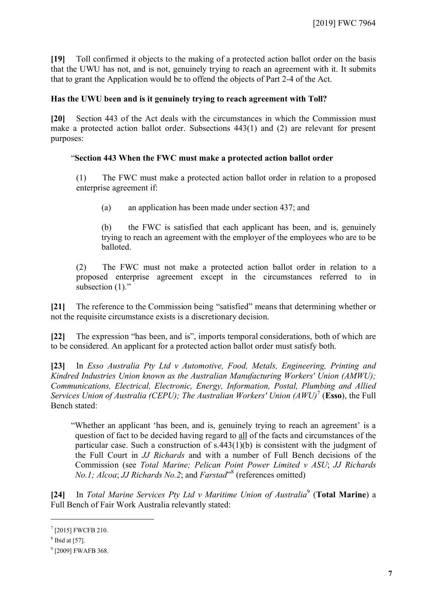**[19]** Toll confirmed it objects to the making of a protected action ballot order on the basis that the UWU has not, and is not, genuinely trying to reach an agreement with it. It submits that to grant the Application would be to offend the objects of Part 2-4 of the Act.

#### **Has the UWU been and is it genuinely trying to reach agreement with Toll?**

**[20]** Section 443 of the Act deals with the circumstances in which the Commission must make a protected action ballot order. Subsections 443(1) and (2) are relevant for present purposes:

#### "**Section 443 When the FWC must make a protected action ballot order**

(1) The FWC must make a protected action ballot order in relation to a proposed enterprise agreement if:

(a) an application has been made under section 437; and

(b) the FWC is satisfied that each applicant has been, and is, genuinely trying to reach an agreement with the employer of the employees who are to be balloted.

(2) The FWC must not make a protected action ballot order in relation to a proposed enterprise agreement except in the circumstances referred to in subsection  $(1)$ ."

**[21]** The reference to the Commission being "satisfied" means that determining whether or not the requisite circumstance exists is a discretionary decision.

**[22]** The expression "has been, and is", imports temporal considerations, both of which are to be considered. An applicant for a protected action ballot order must satisfy both.

**[23]** In *Esso Australia Pty Ltd v Automotive, Food, Metals, Engineering, Printing and Kindred Industries Union known as the Australian Manufacturing Workers' Union (AMWU); Communications, Electrical, Electronic, Energy, Information, Postal, Plumbing and Allied Services Union of Australia (CEPU); The Australian Workers' Union (AWU)*[7](#page-6-0) (**Esso**), the Full Bench stated:

"Whether an applicant 'has been, and is, genuinely trying to reach an agreement' is a question of fact to be decided having regard to all of the facts and circumstances of the particular case. Such a construction of s.443(1)(b) is consistent with the judgment of the Full Court in *JJ Richards* and with a number of Full Bench decisions of the Commission (see *Total Marine; Pelican Point Power Limited v ASU*; *JJ Richards No.1; Alcoa*; *JJ Richards No.2*; and *Farstad*" [8](#page-6-1) (references omitted)

**[24]** In *Total Marine Services Pty Ltd v Maritime Union of Australia*[9](#page-6-2) (**Total Marine**) a Full Bench of Fair Work Australia relevantly stated:

<span id="page-6-0"></span><sup>7</sup> [2015] FWCFB 210.

<span id="page-6-1"></span> $8$  Ibid at [57].

<span id="page-6-2"></span><sup>&</sup>lt;sup>9</sup> [2009] FWAFB 368.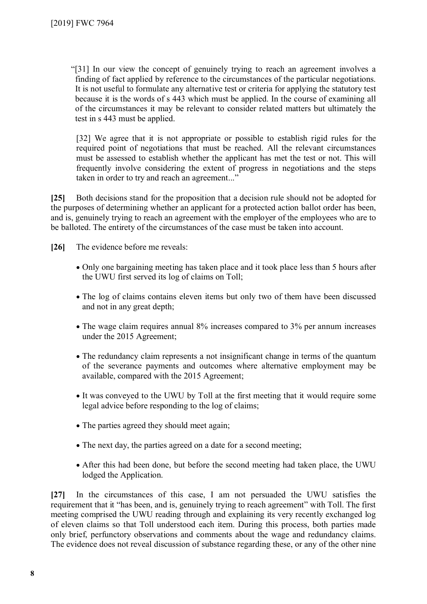"[31] In our view the concept of genuinely trying to reach an agreement involves a finding of fact applied by reference to the circumstances of the particular negotiations. It is not useful to formulate any alternative test or criteria for applying the statutory test because it is the words of s 443 which must be applied. In the course of examining all of the circumstances it may be relevant to consider related matters but ultimately the test in s 443 must be applied.

[32] We agree that it is not appropriate or possible to establish rigid rules for the required point of negotiations that must be reached. All the relevant circumstances must be assessed to establish whether the applicant has met the test or not. This will frequently involve considering the extent of progress in negotiations and the steps taken in order to try and reach an agreement..."

**[25]** Both decisions stand for the proposition that a decision rule should not be adopted for the purposes of determining whether an applicant for a protected action ballot order has been, and is, genuinely trying to reach an agreement with the employer of the employees who are to be balloted. The entirety of the circumstances of the case must be taken into account.

**[26]** The evidence before me reveals:

- Only one bargaining meeting has taken place and it took place less than 5 hours after the UWU first served its log of claims on Toll;
- The log of claims contains eleven items but only two of them have been discussed and not in any great depth;
- The wage claim requires annual 8% increases compared to 3% per annum increases under the 2015 Agreement;
- The redundancy claim represents a not insignificant change in terms of the quantum of the severance payments and outcomes where alternative employment may be available, compared with the 2015 Agreement;
- It was conveyed to the UWU by Toll at the first meeting that it would require some legal advice before responding to the log of claims;
- The parties agreed they should meet again;
- The next day, the parties agreed on a date for a second meeting;
- After this had been done, but before the second meeting had taken place, the UWU lodged the Application.

**[27]** In the circumstances of this case, I am not persuaded the UWU satisfies the requirement that it "has been, and is, genuinely trying to reach agreement" with Toll. The first meeting comprised the UWU reading through and explaining its very recently exchanged log of eleven claims so that Toll understood each item. During this process, both parties made only brief, perfunctory observations and comments about the wage and redundancy claims. The evidence does not reveal discussion of substance regarding these, or any of the other nine